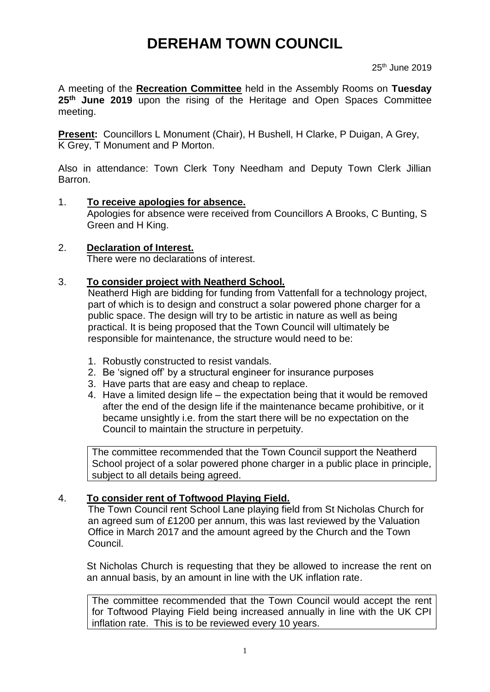# **DEREHAM TOWN COUNCIL**

25th June 2019

A meeting of the **Recreation Committee** held in the Assembly Rooms on **Tuesday 25th June 2019** upon the rising of the Heritage and Open Spaces Committee meeting.

**Present:** Councillors L Monument (Chair), H Bushell, H Clarke, P Duigan, A Grey, K Grey, T Monument and P Morton.

Also in attendance: Town Clerk Tony Needham and Deputy Town Clerk Jillian Barron.

- 1. **To receive apologies for absence.** Apologies for absence were received from Councillors A Brooks, C Bunting, S Green and H King.
- 2. **Declaration of Interest.** There were no declarations of interest.

## 3. **To consider project with Neatherd School.**

Neatherd High are bidding for funding from Vattenfall for a technology project, part of which is to design and construct a solar powered phone charger for a public space. The design will try to be artistic in nature as well as being practical. It is being proposed that the Town Council will ultimately be responsible for maintenance, the structure would need to be:

- 1. Robustly constructed to resist vandals.
- 2. Be 'signed off' by a structural engineer for insurance purposes
- 3. Have parts that are easy and cheap to replace.
- 4. Have a limited design life the expectation being that it would be removed after the end of the design life if the maintenance became prohibitive, or it became unsightly i.e. from the start there will be no expectation on the Council to maintain the structure in perpetuity.

The committee recommended that the Town Council support the Neatherd School project of a solar powered phone charger in a public place in principle, subject to all details being agreed.

## 4. **To consider rent of Toftwood Playing Field.**

The Town Council rent School Lane playing field from St Nicholas Church for an agreed sum of £1200 per annum, this was last reviewed by the Valuation Office in March 2017 and the amount agreed by the Church and the Town Council.

St Nicholas Church is requesting that they be allowed to increase the rent on an annual basis, by an amount in line with the UK inflation rate.

The committee recommended that the Town Council would accept the rent for Toftwood Playing Field being increased annually in line with the UK CPI inflation rate. This is to be reviewed every 10 years.